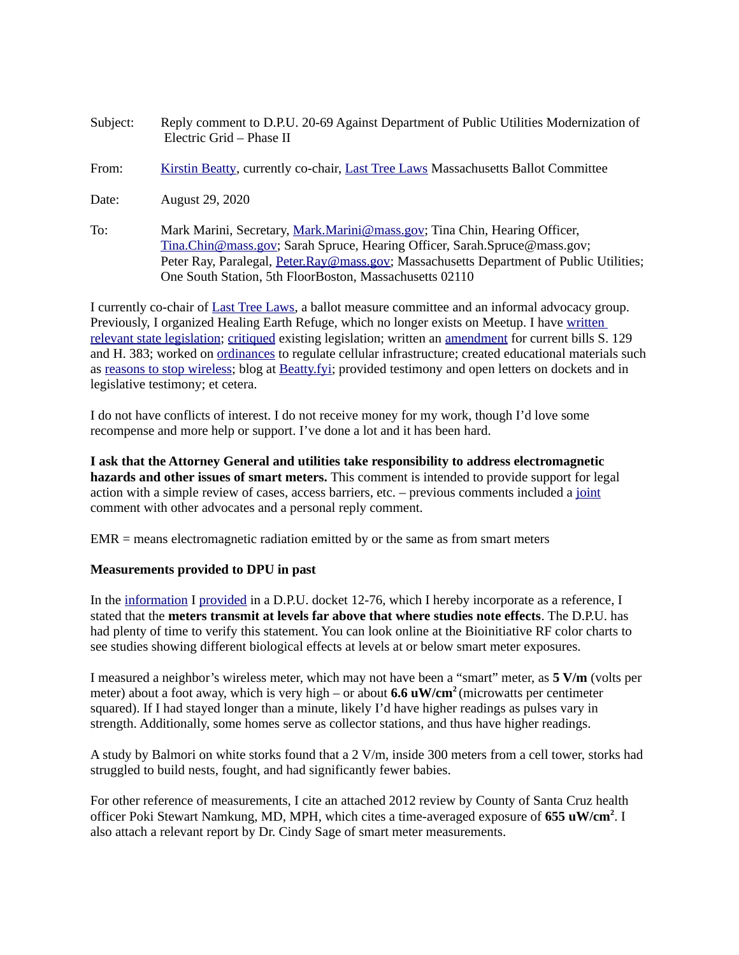- Subject: Reply comment to D.P.U. 20-69 Against Department of Public Utilities Modernization of Electric Grid – Phase II
- From: [Kirstin Beatty,](https://beatty.fyi/) currently co-chair, [Last Tree Laws](https://lasttreelaws.com/) Massachusetts Ballot Committee
- Date: August 29, 2020
- To: Mark Marini, Secretary, *Mark.Marini@mass.gov*; Tina Chin, Hearing Officer, [Tina.Chin@mass.gov;](mailto:Tina.Chin@mass.gov) Sarah Spruce, Hearing Officer, Sarah.Spruce@mass.gov; Peter Ray, Paralegal, [Peter.Ray@mass.gov;](mailto:Peter.Ray@mass.gov) Massachusetts Department of Public Utilities; One South Station, 5th FloorBoston, Massachusetts 02110

I currently co-chair of [Last Tree Laws,](https://lasttreelaws.com/) a ballot measure committee and an informal advocacy group. Previously, I organized Healing Earth Refuge, which no longer exists on Meetup. I have written relevant state legislation; [critiqued](https://lasttreelaws.com/2020/05/11/lemmings-for-bad-bills/) existing legislation; written an [amendment](https://lasttreelaws.com/2020/08/24/amend/) for current bills S. 129 and H. 383; worked on ordinances to regulate cellular infrastructure; created educational materials such as [reasons to stop wireless;](https://www.lasttreelaws.com/reasons-to-halt-4g5g.html) blog at [Beatty.fyi;](https://www.beatty.fyi/) provided testimony and open letters on dockets and in legislative testimony; et cetera.

I do not have conflicts of interest. I do not receive money for my work, though I'd love some recompense and more help or support. I've done a lot and it has been hard.

**I ask that the Attorney General and utilities take responsibility to address electromagnetic hazards and other issues of smart meters.** This comment is intended to provide support for legal action with a simple review of cases, access barriers, etc. – previous comments included a [joint](https://fileservice.eea.comacloud.net/FileService.Api/file/FileRoom/12554641) comment with other advocates and a personal reply comment.

EMR = means electromagnetic radiation emitted by or the same as from smart meters

#### **Measurements provided to DPU in past**

In the [information](https://fileservice.eea.comacloud.net/FileService.Api/file/FileRoom/9238382) I [provided](https://fileservice.eea.comacloud.net/FileService.Api/file/FileRoom/9237913) in a D.P.U. docket 12-76, which I hereby incorporate as a reference, I stated that the **meters transmit at levels far above that where studies note effects**. The D.P.U. has had plenty of time to verify this statement. You can look online at the Bioinitiative RF color charts to see studies showing different biological effects at levels at or below smart meter exposures.

I measured a neighbor's wireless meter, which may not have been a "smart" meter, as **5 V/m** (volts per meter) about a foot away, which is very high – or about **6.6 uW/cm2** (microwatts per centimeter squared). If I had stayed longer than a minute, likely I'd have higher readings as pulses vary in strength. Additionally, some homes serve as collector stations, and thus have higher readings.

A study by Balmori on white storks found that a 2 V/m, inside 300 meters from a cell tower, storks had struggled to build nests, fought, and had significantly fewer babies.

For other reference of measurements, I cite an attached 2012 review by County of Santa Cruz health officer Poki Stewart Namkung, MD, MPH, which cites a time-averaged exposure of 655 uW/cm<sup>2</sup>. I also attach a relevant report by Dr. Cindy Sage of smart meter measurements.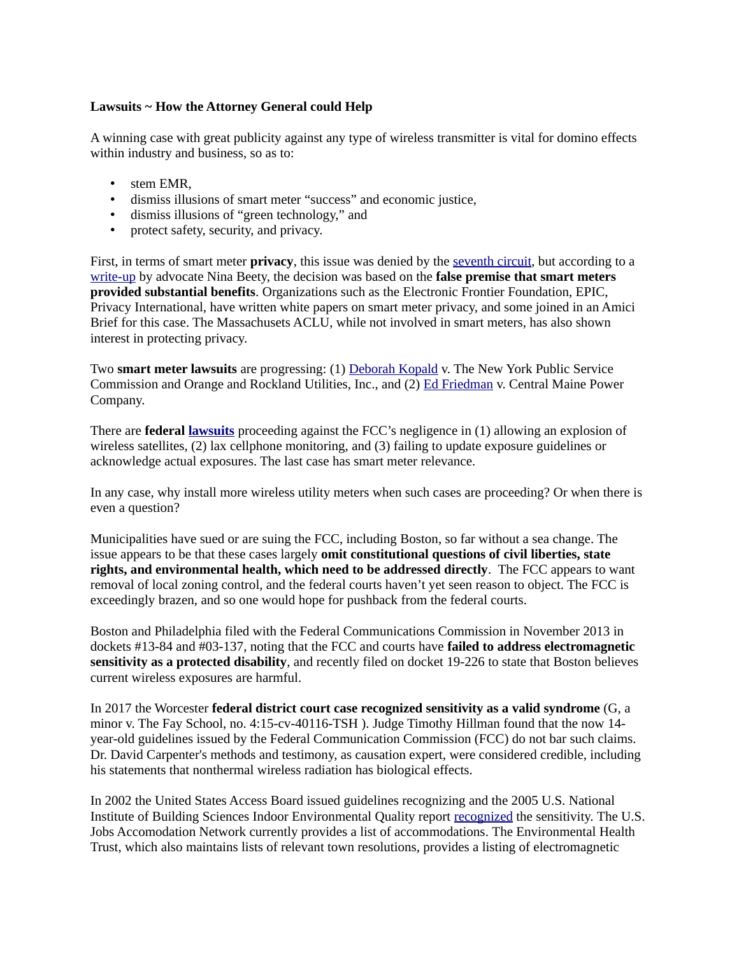#### **Lawsuits ~ How the Attorney General could Help**

A winning case with great publicity against any type of wireless transmitter is vital for domino effects within industry and business, so as to:

- stem EMR,
- dismiss illusions of smart meter "success" and economic justice,
- dismiss illusions of "green technology," and
- protect safety, security, and privacy.

First, in terms of smart meter **privacy**, this issue was denied by the [seventh circuit,](https://skyvisionsolutions.files.wordpress.com/2018/08/nsma-v-city-of-naperville-ruling-on-appeal.pdf) but according to a [write-up](https://smartgridawareness.org/2018/09/30/court-ruling-based-on-false-premise-of-benefits/#more-16151) by advocate Nina Beety, the decision was based on the **false premise that smart meters provided substantial benefits**. Organizations such as the Electronic Frontier Foundation, EPIC, Privacy International, have written white papers on smart meter privacy, and some joined in an Amici Brief for this case. The Massachusets ACLU, while not involved in smart meters, has also shown interest in protecting privacy.

Two **smart meter lawsuits** are progressing: (1) [Deborah Kopald](https://iapps.courts.state.ny.us/fbem/DocumentDisplayServlet?documentId=achPL4YVh7l0lvzRHrHibg==&system=prod) v. The New York Public Service Commission and Orange and Rockland Utilities, Inc., and (2) [Ed Friedman](https://ehtrust.org/maine-resident-with-cancer-sues-over-discriminatory-smart-meter-opt-out-fees/) v. Central Maine Power Company.

There are **federal [lawsuits](https://lasttreelaws.com/lawsuits/)** proceeding against the FCC's negligence in (1) allowing an explosion of wireless satellites, (2) lax cellphone monitoring, and (3) failing to update exposure guidelines or acknowledge actual exposures. The last case has smart meter relevance.

In any case, why install more wireless utility meters when such cases are proceeding? Or when there is even a question?

Municipalities have sued or are suing the FCC, including Boston, so far without a sea change. The issue appears to be that these cases largely **omit constitutional questions of civil liberties, state rights, and environmental health, which need to be addressed directly**. The FCC appears to want removal of local zoning control, and the federal courts haven't yet seen reason to object. The FCC is exceedingly brazen, and so one would hope for pushback from the federal courts.

Boston and Philadelphia filed with the Federal Communications Commission in November 2013 in dockets #13-84 and #03-137, noting that the FCC and courts have **failed to address electromagnetic sensitivity as a protected disability**, and recently filed on docket 19-226 to state that Boston believes current wireless exposures are harmful.

In 2017 the Worcester **federal district court case recognized sensitivity as a valid syndrome** (G, a minor v. The Fay School, no. 4:15-cv-40116-TSH ). Judge Timothy Hillman found that the now 14 year-old guidelines issued by the Federal Communication Commission (FCC) do not bar such claims. Dr. David Carpenter's methods and testimony, as causation expert, were considered credible, including his statements that nonthermal wireless radiation has biological effects.

In 2002 the United States Access Board issued guidelines recognizing and the 2005 U.S. National Institute of Building Sciences Indoor Environmental Quality report recognized the sensitivity. The U.S. Jobs Accomodation Network currently provides a list of accommodations. The Environmental Health Trust, which also maintains lists of relevant town resolutions, provides a listing of electromagnetic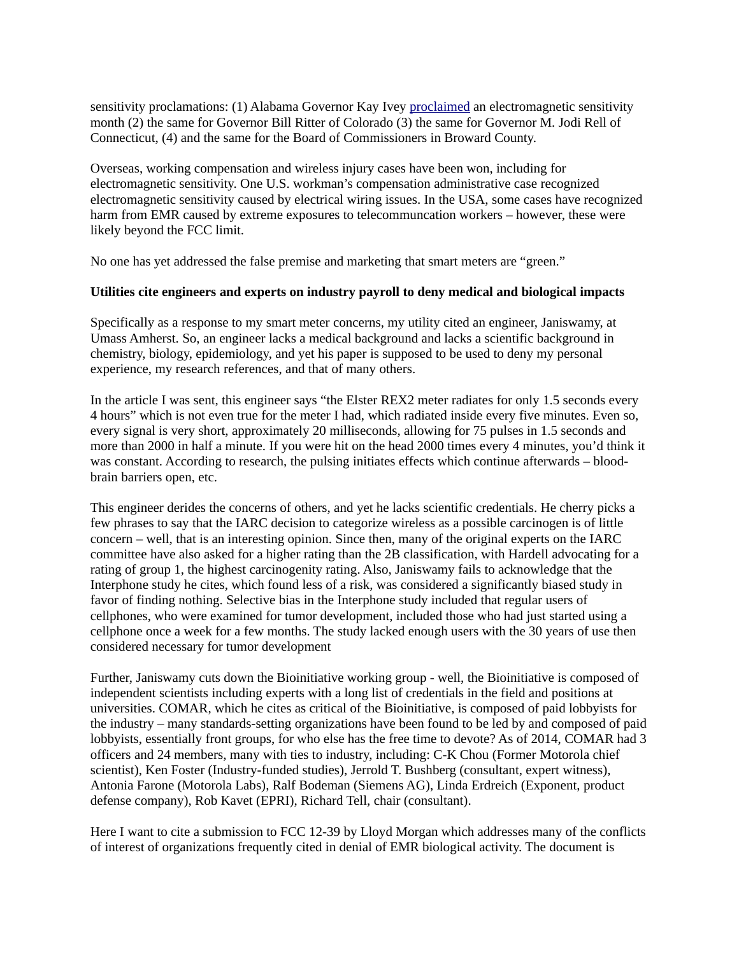sensitivity proclamations: (1) Alabama Governor Kay Ivey [proclaimed](https://ehtrust.org/alabama-proclamation-electromagnetic-sensitivity/) an electromagnetic sensitivity month (2) the same for Governor Bill Ritter of Colorado (3) the same for Governor M. Jodi Rell of Connecticut, (4) and the same for the Board of Commissioners in Broward County.

Overseas, working compensation and wireless injury cases have been won, including for electromagnetic sensitivity. One U.S. workman's compensation administrative case recognized electromagnetic sensitivity caused by electrical wiring issues. In the USA, some cases have recognized harm from EMR caused by extreme exposures to telecommuncation workers – however, these were likely beyond the FCC limit.

No one has yet addressed the false premise and marketing that smart meters are "green."

#### **Utilities cite engineers and experts on industry payroll to deny medical and biological impacts**

Specifically as a response to my smart meter concerns, my utility cited an engineer, Janiswamy, at Umass Amherst. So, an engineer lacks a medical background and lacks a scientific background in chemistry, biology, epidemiology, and yet his paper is supposed to be used to deny my personal experience, my research references, and that of many others.

In the article I was sent, this engineer says "the Elster REX2 meter radiates for only 1.5 seconds every 4 hours" which is not even true for the meter I had, which radiated inside every five minutes. Even so, every signal is very short, approximately 20 milliseconds, allowing for 75 pulses in 1.5 seconds and more than 2000 in half a minute. If you were hit on the head 2000 times every 4 minutes, you'd think it was constant. According to research, the pulsing initiates effects which continue afterwards – bloodbrain barriers open, etc.

This engineer derides the concerns of others, and yet he lacks scientific credentials. He cherry picks a few phrases to say that the IARC decision to categorize wireless as a possible carcinogen is of little concern – well, that is an interesting opinion. Since then, many of the original experts on the IARC committee have also asked for a higher rating than the 2B classification, with Hardell advocating for a rating of group 1, the highest carcinogenity rating. Also, Janiswamy fails to acknowledge that the Interphone study he cites, which found less of a risk, was considered a significantly biased study in favor of finding nothing. Selective bias in the Interphone study included that regular users of cellphones, who were examined for tumor development, included those who had just started using a cellphone once a week for a few months. The study lacked enough users with the 30 years of use then considered necessary for tumor development

Further, Janiswamy cuts down the Bioinitiative working group - well, the Bioinitiative is composed of independent scientists including experts with a long list of credentials in the field and positions at universities. COMAR, which he cites as critical of the Bioinitiative, is composed of paid lobbyists for the industry – many standards-setting organizations have been found to be led by and composed of paid lobbyists, essentially front groups, for who else has the free time to devote? As of 2014, COMAR had 3 officers and 24 members, many with ties to industry, including: C-K Chou (Former Motorola chief scientist), Ken Foster (Industry-funded studies), Jerrold T. Bushberg (consultant, expert witness), Antonia Farone (Motorola Labs), Ralf Bodeman (Siemens AG), Linda Erdreich (Exponent, product defense company), Rob Kavet (EPRI), Richard Tell, chair (consultant).

Here I want to cite a submission to FCC 12-39 by Lloyd Morgan which addresses many of the conflicts of interest of organizations frequently cited in denial of EMR biological activity. The document is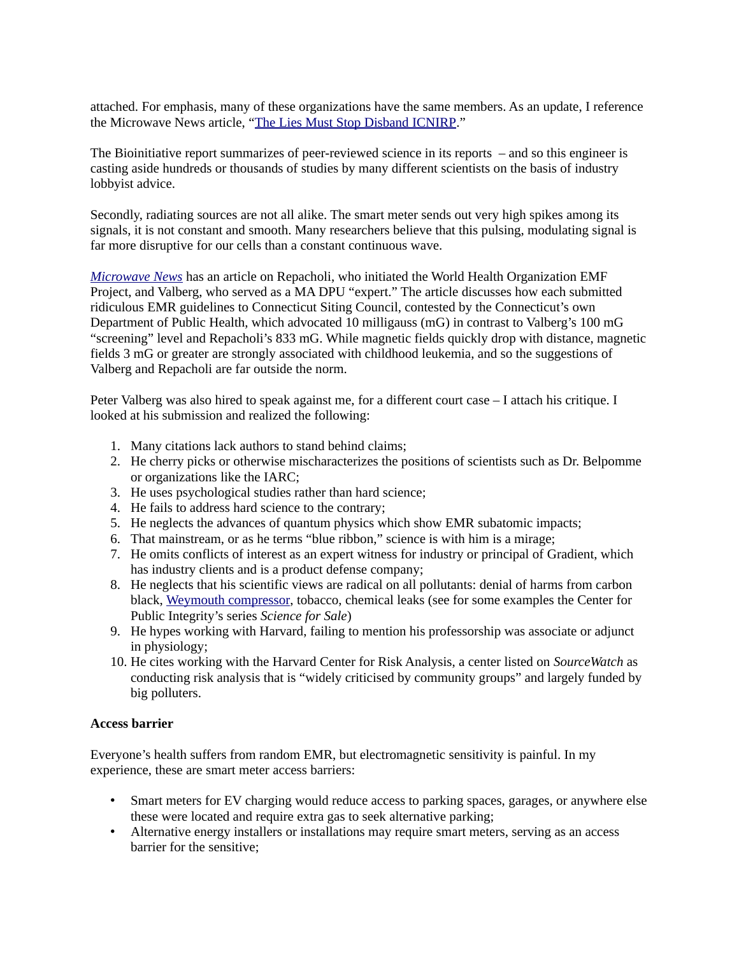attached. For emphasis, many of these organizations have the same members. As an update, I reference the Microwave News article, ["The Lies Must Stop Disband ICNIRP.](https://microwavenews.com/news-center/time-clean-house)"

The Bioinitiative report summarizes of peer-reviewed science in its reports – and so this engineer is casting aside hundreds or thousands of studies by many different scientists on the basis of industry lobbyist advice.

Secondly, radiating sources are not all alike. The smart meter sends out very high spikes among its signals, it is not constant and smooth. Many researchers believe that this pulsing, modulating signal is far more disruptive for our cells than a constant continuous wave.

*[Microwave News](https://microwavenews.com/CT.html)* has an article on Repacholi, who initiated the World Health Organization EMF Project, and Valberg, who served as a MA DPU "expert." The article discusses how each submitted ridiculous EMR guidelines to Connecticut Siting Council, contested by the Connecticut's own Department of Public Health, which advocated 10 milligauss (mG) in contrast to Valberg's 100 mG "screening" level and Repacholi's 833 mG. While magnetic fields quickly drop with distance, magnetic fields 3 mG or greater are strongly associated with childhood leukemia, and so the suggestions of Valberg and Repacholi are far outside the norm.

Peter Valberg was also hired to speak against me, for a different court case – I attach his critique. I looked at his submission and realized the following:

- 1. Many citations lack authors to stand behind claims;
- 2. He cherry picks or otherwise mischaracterizes the positions of scientists such as Dr. Belpomme or organizations like the IARC;
- 3. He uses psychological studies rather than hard science;
- 4. He fails to address hard science to the contrary;
- 5. He neglects the advances of quantum physics which show EMR subatomic impacts;
- 6. That mainstream, or as he terms "blue ribbon," science is with him is a mirage;
- 7. He omits conflicts of interest as an expert witness for industry or principal of Gradient, which has industry clients and is a product defense company;
- 8. He neglects that his scientific views are radical on all pollutants: denial of harms from carbon black, [Weymouth compressor,](https://hingham.wickedlocal.com/news/20190517/enbridge-defends-weymouth-compressor-project-against-pollution-charges) tobacco, chemical leaks (see for some examples the Center for Public Integrity's series *Science for Sale*)
- 9. He hypes working with Harvard, failing to mention his professorship was associate or adjunct in physiology;
- 10. He cites working with the Harvard Center for Risk Analysis, a center listed on *SourceWatch* as conducting risk analysis that is "widely criticised by community groups" and largely funded by big polluters.

# **Access barrier**

Everyone's health suffers from random EMR, but electromagnetic sensitivity is painful. In my experience, these are smart meter access barriers:

- Smart meters for EV charging would reduce access to parking spaces, garages, or anywhere else these were located and require extra gas to seek alternative parking;
- Alternative energy installers or installations may require smart meters, serving as an access barrier for the sensitive;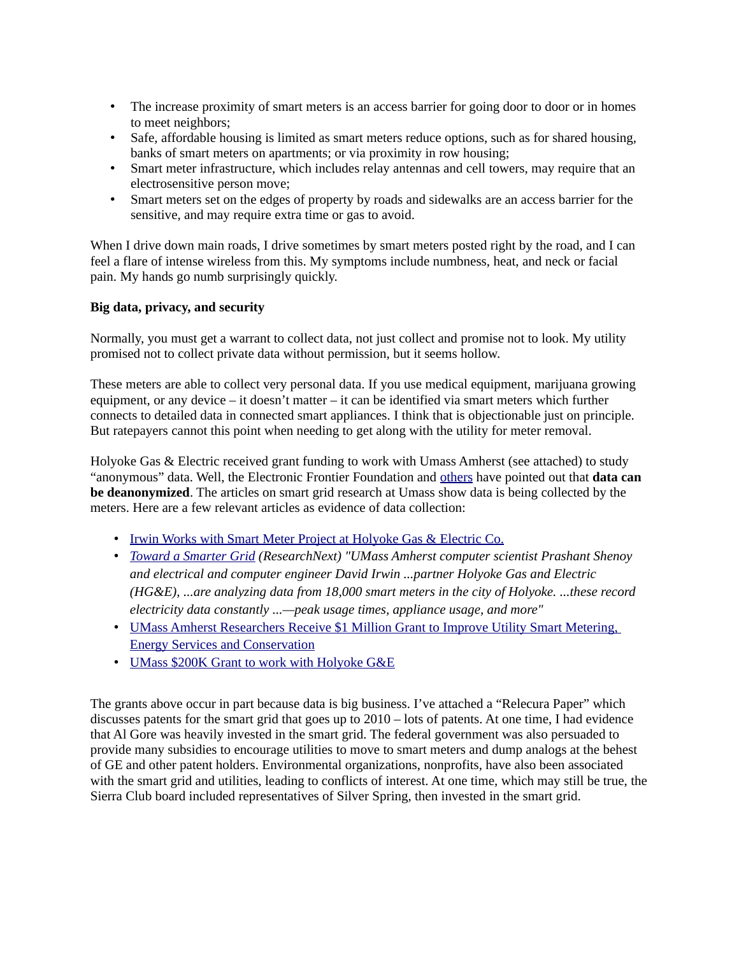- The increase proximity of smart meters is an access barrier for going door to door or in homes to meet neighbors;
- Safe, affordable housing is limited as smart meters reduce options, such as for shared housing, banks of smart meters on apartments; or via proximity in row housing;
- Smart meter infrastructure, which includes relay antennas and cell towers, may require that an electrosensitive person move;
- Smart meters set on the edges of property by roads and sidewalks are an access barrier for the sensitive, and may require extra time or gas to avoid.

When I drive down main roads, I drive sometimes by smart meters posted right by the road, and I can feel a flare of intense wireless from this. My symptoms include numbness, heat, and neck or facial pain. My hands go numb surprisingly quickly.

#### **Big data, privacy, and security**

Normally, you must get a warrant to collect data, not just collect and promise not to look. My utility promised not to collect private data without permission, but it seems hollow.

These meters are able to collect very personal data. If you use medical equipment, marijuana growing equipment, or any device – it doesn't matter – it can be identified via smart meters which further connects to detailed data in connected smart appliances. I think that is objectionable just on principle. But ratepayers cannot this point when needing to get along with the utility for meter removal.

Holyoke Gas & Electric received grant funding to work with Umass Amherst (see attached) to study "anonymous" data. Well, the Electronic Frontier Foundation and [others](https://gizmodo.com/researchers-reveal-that-anonymized-data-is-easy-to-reve-1836629166) have pointed out that **data can be deanonymized**. The articles on smart grid research at Umass show data is being collected by the meters. Here are a few relevant articles as evidence of data collection:

- • [Irwin Works with Smart Meter Project at Holyoke Gas & Electric Co.](https://ece.umass.edu/news/irwin-works-with-smart-meter-project-holyoke-gas-electric-co)
- • *[Toward a Smarter Grid](http://www.mghpcc.org/toward-a-smarter-greener-grid/) (ResearchNext) "UMass Amherst computer scientist Prashant Shenoy and electrical and computer engineer David Irwin ...partner Holyoke Gas and Electric (HG&E), ...are analyzing data from 18,000 smart meters in the city of Holyoke. ...these record electricity data constantly ...—peak usage times, appliance usage, and more"*
- UMass Amherst Researchers Receive \$1 Million Grant to Improve Utility Smart Metering, [Energy Services and Conservation](http://www.umass.edu/newsoffice/article/umass-amherst-researchers-receive-1)
- • [UMass \\$200K Grant to work with Holyoke G&E](https://www.masslive.com/news/index.ssf/2014/04/holyoke_gas_and_electric_custo.html)

The grants above occur in part because data is big business. I've attached a "Relecura Paper" which discusses patents for the smart grid that goes up to 2010 – lots of patents. At one time, I had evidence that Al Gore was heavily invested in the smart grid. The federal government was also persuaded to provide many subsidies to encourage utilities to move to smart meters and dump analogs at the behest of GE and other patent holders. Environmental organizations, nonprofits, have also been associated with the smart grid and utilities, leading to conflicts of interest. At one time, which may still be true, the Sierra Club board included representatives of Silver Spring, then invested in the smart grid.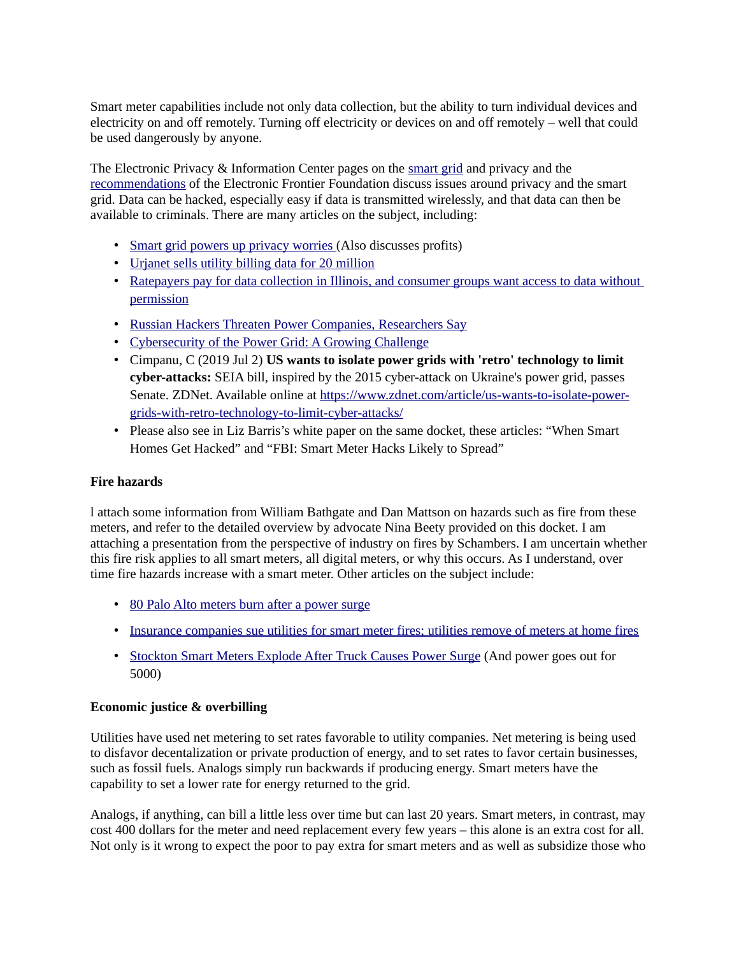Smart meter capabilities include not only data collection, but the ability to turn individual devices and electricity on and off remotely. Turning off electricity or devices on and off remotely – well that could be used dangerously by anyone.

The Electronic Privacy & Information Center pages on the [smart grid](https://epic.org/privacy/smartgrid/smartgrid.html) and privacy and the [recommendations](https://www.eff.org/deeplinks/2010/10/eff-advises-california-puc-smart-grid-privacy) of the Electronic Frontier Foundation discuss issues around privacy and the smart grid. Data can be hacked, especially easy if data is transmitted wirelessly, and that data can then be available to criminals. There are many articles on the subject, including:

- • [Smart grid powers up privacy worries \(](https://www.politico.com/story/2015/01/energy-electricity-data-use-113901)Also discusses profits)
- [Urjanet sells utility billing data for 20 million](https://techcrunch.com/2017/03/02/looking-to-sell-utility-billing-data-to-lenders-urjanet-rakes-in-20-million/)
- Ratepayers pay for data collection in Illinois, and consumer groups want access to data without [permission](https://energynews.us/2019/01/31/midwest/technical-cultural-hurdles-slow-efforts-to-make-utility-customer-data-useful/)
- • [Russian Hackers Threaten Power Companies, Researchers Say](https://www.bloomberg.com/news/articles/2014-06-30/symantec-warns-energetic-bear-hackers-threaten-energy-firms)
- [Cybersecurity of the Power Grid: A Growing Challenge](https://www.usnews.com/news/national-news/articles/2017-02-24/cybersecurity-of-the-power-grid-a-growing-challenge)
- Cimpanu, C (2019 Jul 2) **US wants to isolate power grids with 'retro' technology to limit cyber-attacks:** SEIA bill, inspired by the 2015 cyber-attack on Ukraine's power grid, passes Senate. ZDNet. Available online at [https://www.zdnet.com/article/us-wants-to-isolate-power](https://www.zdnet.com/article/us-wants-to-isolate-power-grids-with-retro-technology-to-limit-cyber-attacks/)[grids-with-retro-technology-to-limit-cyber-attacks/](https://www.zdnet.com/article/us-wants-to-isolate-power-grids-with-retro-technology-to-limit-cyber-attacks/)
- Please also see in Liz Barris's white paper on the same docket, these articles: "When Smart Homes Get Hacked" and "FBI: Smart Meter Hacks Likely to Spread"

# **Fire hazards**

l attach some information from William Bathgate and Dan Mattson on hazards such as fire from these meters, and refer to the detailed overview by advocate Nina Beety provided on this docket. I am attaching a presentation from the perspective of industry on fires by Schambers. I am uncertain whether this fire risk applies to all smart meters, all digital meters, or why this occurs. As I understand, over time fire hazards increase with a smart meter. Other articles on the subject include:

- • [80 Palo Alto meters burn after a power surge](https://www.paloaltoonline.com/news/2011/09/04/power-surge-raises-questions-about-smartmeters)
- [Insurance companies sue utilities for smart meter fires; utilities remove of meters at home fires](https://abc30.com/lawsuits-claim-faulty-pg-e-smart-meters-started-house-fires/2657513/)
- Stockton Smart Meters Explode After Truck Causes Power Surge (And power goes out for 5000)

# **Economic justice & overbilling**

Utilities have used net metering to set rates favorable to utility companies. Net metering is being used to disfavor decentalization or private production of energy, and to set rates to favor certain businesses, such as fossil fuels. Analogs simply run backwards if producing energy. Smart meters have the capability to set a lower rate for energy returned to the grid.

Analogs, if anything, can bill a little less over time but can last 20 years. Smart meters, in contrast, may cost 400 dollars for the meter and need replacement every few years – this alone is an extra cost for all. Not only is it wrong to expect the poor to pay extra for smart meters and as well as subsidize those who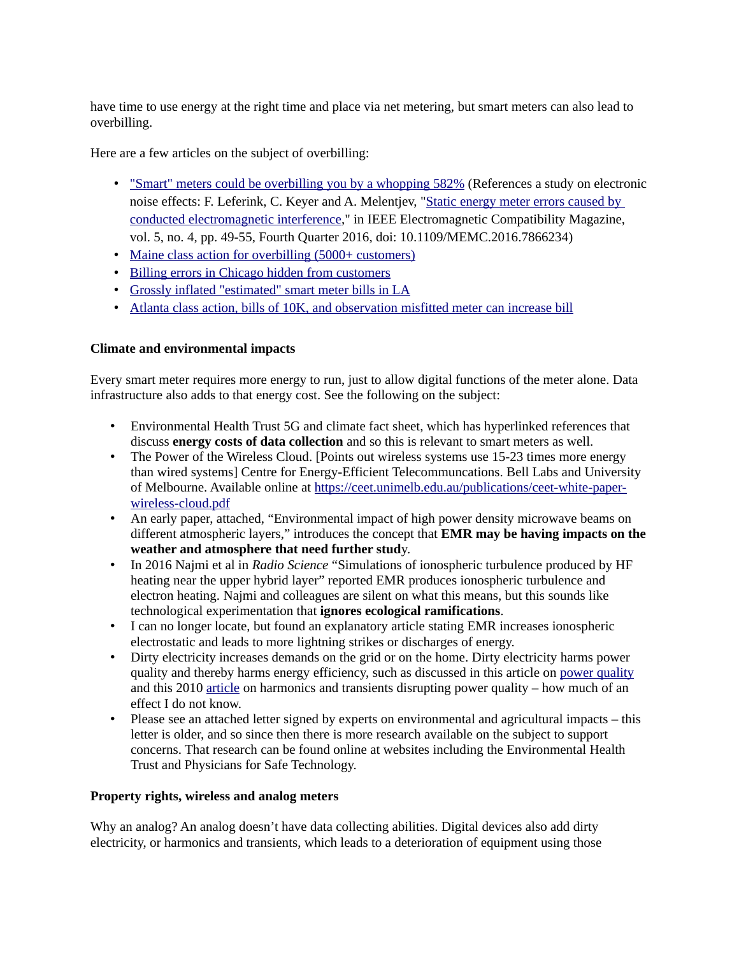have time to use energy at the right time and place via net metering, but smart meters can also lead to overbilling.

Here are a few articles on the subject of overbilling:

- • ["Smart" meters could be overbilling you by a whopping 582%](https://newstarget.com/2017-03-29-smart-meters-could-be-over-billing-you-by-a-whopping-582.html) (References a study on electronic noise effects: F. Leferink, C. Keyer and A. Melentjev, ["Static energy meter errors caused by](https://ieeexplore.ieee.org/document/7866234)  [conducted electromagnetic interference,](https://ieeexplore.ieee.org/document/7866234)" in IEEE Electromagnetic Compatibility Magazine, vol. 5, no. 4, pp. 49-55, Fourth Quarter 2016, doi: 10.1109/MEMC.2016.7866234)
- • [Maine class action for overbilling \(5000+ customers\)](https://www.pressherald.com/2018/07/17/over-200-cmp-customers-joining-class-action-suit-alleging-they-were-overbilled/)
- [Billing errors in Chicago hidden from customers](https://www.chicagotribune.com/news/watchdog/ct-water-meter-overcharge-met-20150603-story.html)
- [Grossly inflated "estimated" smart meter bills in LA](https://www.nbclosangeles.com/news/local/DWP-Overcharges-Customers-With-Secret-Formula-291335271.html)
- [Atlanta class action, bills of 10K, and observation misfitted meter can increase bill](http://www.cnn.com/2011/US/03/01/water.bills.war/index.html)

# **Climate and environmental impacts**

Every smart meter requires more energy to run, just to allow digital functions of the meter alone. Data infrastructure also adds to that energy cost. See the following on the subject:

- Environmental Health Trust 5G and climate fact sheet, which has hyperlinked references that discuss **energy costs of data collection** and so this is relevant to smart meters as well.
- The Power of the Wireless Cloud. [Points out wireless systems use 15-23 times more energy than wired systems] Centre for Energy-Efficient Telecommuncations. Bell Labs and University of Melbourne. Available online at [https://ceet.unimelb.edu.au/publications/ceet-white-paper](https://ceet.unimelb.edu.au/publications/ceet-white-paper-wireless-cloud.pdf)[wireless-cloud.pdf](https://ceet.unimelb.edu.au/publications/ceet-white-paper-wireless-cloud.pdf)
- An early paper, attached, "Environmental impact of high power density microwave beams on different atmospheric layers," introduces the concept that **EMR may be having impacts on the weather and atmosphere that need further stud**y.
- In 2016 Najmi et al in *Radio Science* "Simulations of ionospheric turbulence produced by HF heating near the upper hybrid layer" reported EMR produces ionospheric turbulence and electron heating. Najmi and colleagues are silent on what this means, but this sounds like technological experimentation that **ignores ecological ramifications**.
- I can no longer locate, but found an explanatory article stating EMR increases ionospheric electrostatic and leads to more lightning strikes or discharges of energy.
- Dirty electricity increases demands on the grid or on the home. Dirty electricity harms power quality and thereby harms energy efficiency, such as discussed in this article on [power quality](https://ustpower.com/energy-efficiency-power-quality-schools/) and this 2010 [article](https://www.powerelectronics.com/technologies/lighting-systems/article/21851958/shedding-light-on-power-quality-for-energy-efficient-bulbs) on harmonics and transients disrupting power quality – how much of an effect I do not know.
- Please see an attached letter signed by experts on environmental and agricultural impacts this letter is older, and so since then there is more research available on the subject to support concerns. That research can be found online at websites including the Environmental Health Trust and Physicians for Safe Technology.

# **Property rights, wireless and analog meters**

Why an analog? An analog doesn't have data collecting abilities. Digital devices also add dirty electricity, or harmonics and transients, which leads to a deterioration of equipment using those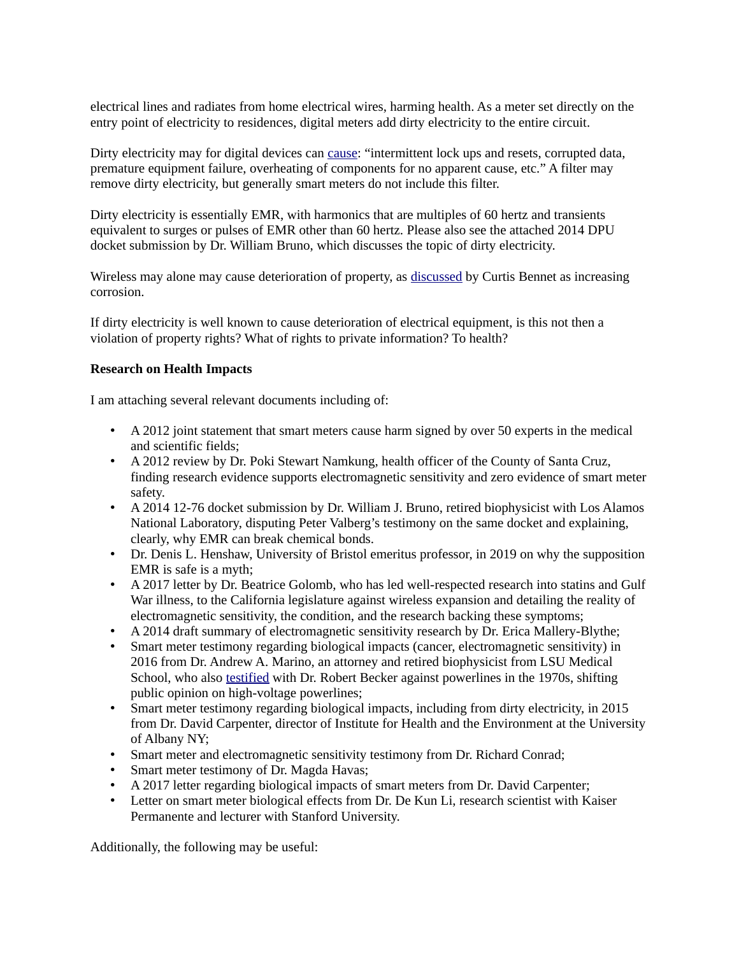electrical lines and radiates from home electrical wires, harming health. As a meter set directly on the entry point of electricity to residences, digital meters add dirty electricity to the entire circuit.

Dirty electricity may for digital devices can [cause:](http://www.industrial-electronics.com/epemt_12d-2.html) "intermittent lock ups and resets, corrupted data, premature equipment failure, overheating of components for no apparent cause, etc." A filter may remove dirty electricity, but generally smart meters do not include this filter.

Dirty electricity is essentially EMR, with harmonics that are multiples of 60 hertz and transients equivalent to surges or pulses of EMR other than 60 hertz. Please also see the attached 2014 DPU docket submission by Dr. William Bruno, which discusses the topic of dirty electricity.

Wireless may alone may cause deterioration of property, as [discussed](https://fileservice.eea.comacloud.net/FileService.Api/file/FileRoom/9238384) by Curtis Bennet as increasing corrosion.

If dirty electricity is well known to cause deterioration of electrical equipment, is this not then a violation of property rights? What of rights to private information? To health?

# **Research on Health Impacts**

I am attaching several relevant documents including of:

- A 2012 joint statement that smart meters cause harm signed by over 50 experts in the medical and scientific fields;
- A 2012 review by Dr. Poki Stewart Namkung, health officer of the County of Santa Cruz, finding research evidence supports electromagnetic sensitivity and zero evidence of smart meter safety.
- A 2014 12-76 docket submission by Dr. William J. Bruno, retired biophysicist with Los Alamos National Laboratory, disputing Peter Valberg's testimony on the same docket and explaining, clearly, why EMR can break chemical bonds.
- Dr. Denis L. Henshaw, University of Bristol emeritus professor, in 2019 on why the supposition EMR is safe is a myth;
- A 2017 letter by Dr. Beatrice Golomb, who has led well-respected research into statins and Gulf War illness, to the California legislature against wireless expansion and detailing the reality of electromagnetic sensitivity, the condition, and the research backing these symptoms;
- A 2014 draft summary of electromagnetic sensitivity research by Dr. Erica Mallery-Blythe;
- Smart meter testimony regarding biological impacts (cancer, electromagnetic sensitivity) in 2016 from Dr. Andrew A. Marino, an attorney and retired biophysicist from LSU Medical School, who also [testified](https://www.andrewamarino.com/?page_id=3258) with Dr. Robert Becker against powerlines in the 1970s, shifting public opinion on high-voltage powerlines;
- Smart meter testimony regarding biological impacts, including from dirty electricity, in 2015 from Dr. David Carpenter, director of Institute for Health and the Environment at the University of Albany NY;
- Smart meter and electromagnetic sensitivity testimony from Dr. Richard Conrad;
- Smart meter testimony of Dr. Magda Havas;
- A 2017 letter regarding biological impacts of smart meters from Dr. David Carpenter;
- Letter on smart meter biological effects from Dr. De Kun Li, research scientist with Kaiser Permanente and lecturer with Stanford University.

Additionally, the following may be useful: